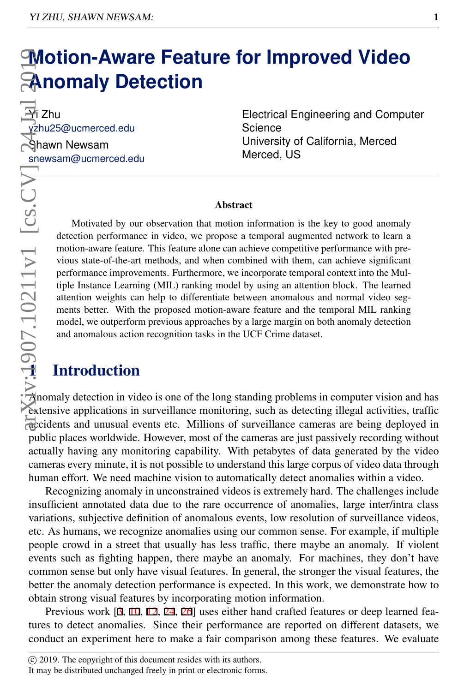# **Motion-Aware Feature for Improved Video Anomaly Detection**

 $\overline{\mathbf{P}}$ i Zhu yzhu25@ucmerced.edu Shawn Newsam snewsam@ucmerced.edu

Electrical Engineering and Computer **Science** University of California, Merced Merced, US

#### **Abstract**

Motivated by our observation that motion information is the key to good anomaly detection performance in video, we propose a temporal augmented network to learn a motion-aware feature. This feature alone can achieve competitive performance with previous state-of-the-art methods, and when combined with them, can achieve significant performance improvements. Furthermore, we incorporate temporal context into the Multiple Instance Learning (MIL) ranking model by using an attention block. The learned attention weights can help to differentiate between anomalous and normal video segments better. With the proposed motion-aware feature and the temporal MIL ranking model, we outperform previous approaches by a large margin on both anomaly detection and anomalous action recognition tasks in the UCF Crime dataset. Motivated by our detection performance motion-aware feature<br>
wious state-of-the-art<br>
vious state-of-the-art<br>
performance improve<br>
tiple Instance Learni<br>
attention weights can<br>
ments better. With t<br>
model, we outperform<br>
an

 $\overline{A}$ nomaly detection in video is one of the long standing problems in computer vision and has extensive applications in surveillance monitoring, such as detecting illegal activities, traffic accidents and unusual events etc. Millions of surveillance cameras are being deployed in public places worldwide. However, most of the cameras are just passively recording without actually having any monitoring capability. With petabytes of data generated by the video cameras every minute, it is not possible to understand this large corpus of video data through human effort. We need machine vision to automatically detect anomalies within a video.

Recognizing anomaly in unconstrained videos is extremely hard. The challenges include insufficient annotated data due to the rare occurrence of anomalies, large inter/intra class variations, subjective definition of anomalous events, low resolution of surveillance videos, etc. As humans, we recognize anomalies using our common sense. For example, if multiple people crowd in a street that usually has less traffic, there maybe an anomaly. If violent events such as fighting happen, there maybe an anomaly. For machines, they don't have common sense but only have visual features. In general, the stronger the visual features, the better the anomaly detection performance is expected. In this work, we demonstrate how to obtain strong visual features by incorporating motion information. **Motion-Aware Feature for**<br> **Example 10 Detection**<br> **Example 10 Detection**<br> **Example 10 Detection**<br> **Example 10** Science of Science of Science of Science of Science of Science of Science of Maximum Newsam (*Microsoftermac* 

Previous work [3, 10, 12, 24, 26] uses either hand crafted features or deep learned features to detect anomalies. Since their performance are reported on different datasets, we conduct an experiment here to make a fair comparison among these features. We evaluate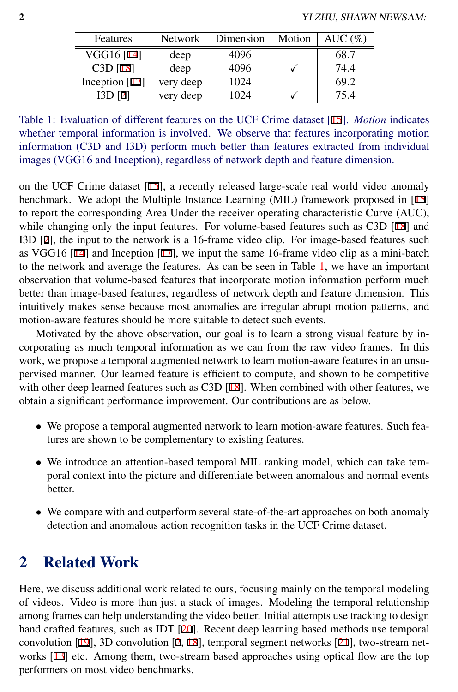| Features           | <b>Network</b> | Dimension | Motion | AUC $(\% )$ |
|--------------------|----------------|-----------|--------|-------------|
| VGG16 [14]         | deep           | 4096      |        | 68.7        |
| $C3D$ [18]         | deep           | 4096      |        | 74.4        |
| Inception $[17]$   | very deep      | 1024      |        | 69.2        |
| I3D <sub>121</sub> | very deep      | 1024      |        | 75.4        |

<span id="page-1-0"></span>Table 1: Evaluation of different features on the UCF Crime dataset [15]. *Motion* indicates whether temporal information is involved. We observe that features incorporating motion information (C3D and I3D) perform much better than features extracted from individual images (VGG16 and Inception), regardless of network depth and feature dimension.

on the UCF Crime dataset [15], a recently released large-scale real world video anomaly benchmark. We adopt the Multiple Instance Learning (MIL) framework proposed in [15] to report the corresponding Area Under the receiver operating characteristic Curve (AUC), while changing only the input features. For volume-based features such as C3D [18] and I3D [2], the input to the network is a 16-frame video clip. For image-based features such as VGG16  $[14]$  and Inception  $[17]$ , we input the same 16-frame video clip as a mini-batch to the network and average the features. As can be seen in Table [1,](#page-1-0) we have an important observation that volume-based features that incorporate motion information perform much better than image-based features, regardless of network depth and feature dimension. This intuitively makes sense because most anomalies are irregular abrupt motion patterns, and motion-aware features should be more suitable to detect such events.

Motivated by the above observation, our goal is to learn a strong visual feature by incorporating as much temporal information as we can from the raw video frames. In this work, we propose a temporal augmented network to learn motion-aware features in an unsupervised manner. Our learned feature is efficient to compute, and shown to be competitive with other deep learned features such as C3D  $[18]$ . When combined with other features, we obtain a significant performance improvement. Our contributions are as below.

- We propose a temporal augmented network to learn motion-aware features. Such features are shown to be complementary to existing features.
- We introduce an attention-based temporal MIL ranking model, which can take temporal context into the picture and differentiate between anomalous and normal events better.
- We compare with and outperform several state-of-the-art approaches on both anomaly detection and anomalous action recognition tasks in the UCF Crime dataset.

## 2 Related Work

Here, we discuss additional work related to ours, focusing mainly on the temporal modeling of videos. Video is more than just a stack of images. Modeling the temporal relationship among frames can help understanding the video better. Initial attempts use tracking to design hand crafted features, such as IDT [20]. Recent deep learning based methods use temporal convolution [19], 3D convolution [2, 18], temporal segment networks [21], two-stream networks [13] etc. Among them, two-stream based approaches using optical flow are the top performers on most video benchmarks.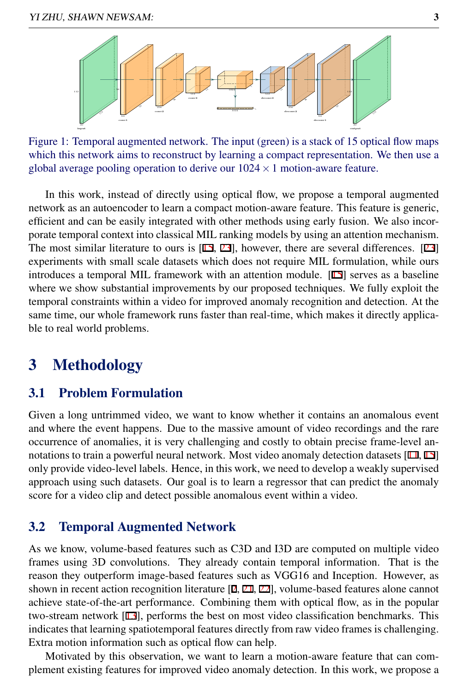

<span id="page-2-0"></span>Figure 1: Temporal augmented network. The input (green) is a stack of 15 optical flow maps which this network aims to reconstruct by learning a compact representation. We then use a global average pooling operation to derive our  $1024 \times 1$  motion-aware feature.

In this work, instead of directly using optical flow, we propose a temporal augmented network as an autoencoder to learn a compact motion-aware feature. This feature is generic, efficient and can be easily integrated with other methods using early fusion. We also incorporate temporal context into classical MIL ranking models by using an attention mechanism. The most similar literature to ours is [15, 23], however, there are several differences. [23] experiments with small scale datasets which does not require MIL formulation, while ours introduces a temporal MIL framework with an attention module. [15] serves as a baseline where we show substantial improvements by our proposed techniques. We fully exploit the temporal constraints within a video for improved anomaly recognition and detection. At the same time, our whole framework runs faster than real-time, which makes it directly applicable to real world problems.

## <span id="page-2-1"></span>3 Methodology

#### 3.1 Problem Formulation

Given a long untrimmed video, we want to know whether it contains an anomalous event and where the event happens. Due to the massive amount of video recordings and the rare occurrence of anomalies, it is very challenging and costly to obtain precise frame-level annotations to train a powerful neural network. Most video anomaly detection datasets [11, 15] only provide video-level labels. Hence, in this work, we need to develop a weakly supervised approach using such datasets. Our goal is to learn a regressor that can predict the anomaly score for a video clip and detect possible anomalous event within a video.

#### 3.2 Temporal Augmented Network

As we know, volume-based features such as C3D and I3D are computed on multiple video frames using 3D convolutions. They already contain temporal information. That is the reason they outperform image-based features such as VGG16 and Inception. However, as shown in recent action recognition literature  $[2, 21, 22]$ , volume-based features alone cannot achieve state-of-the-art performance. Combining them with optical flow, as in the popular two-stream network [13], performs the best on most video classification benchmarks. This indicates that learning spatiotemporal features directly from raw video frames is challenging. Extra motion information such as optical flow can help.

Motivated by this observation, we want to learn a motion-aware feature that can complement existing features for improved video anomaly detection. In this work, we propose a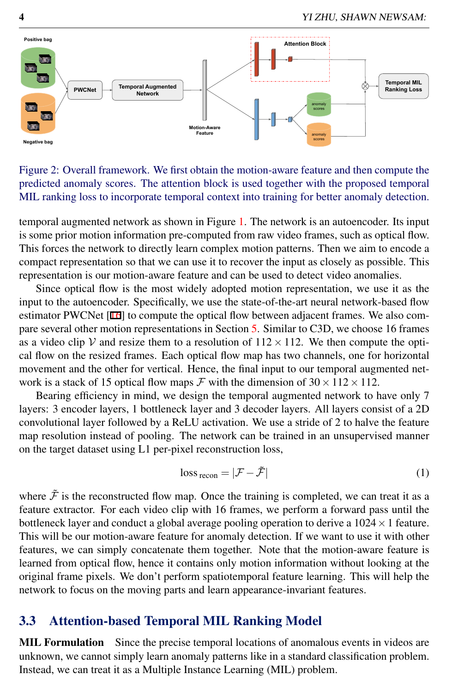

<span id="page-3-0"></span>Figure 2: Overall framework. We first obtain the motion-aware feature and then compute the predicted anomaly scores. The attention block is used together with the proposed temporal MIL ranking loss to incorporate temporal context into training for better anomaly detection.

temporal augmented network as shown in Figure [1.](#page-2-0) The network is an autoencoder. Its input is some prior motion information pre-computed from raw video frames, such as optical flow. This forces the network to directly learn complex motion patterns. Then we aim to encode a compact representation so that we can use it to recover the input as closely as possible. This representation is our motion-aware feature and can be used to detect video anomalies.

Since optical flow is the most widely adopted motion representation, we use it as the input to the autoencoder. Specifically, we use the state-of-the-art neural network-based flow estimator PWCNet [16] to compute the optical flow between adjacent frames. We also compare several other motion representations in Section [5.](#page-7-0) Similar to C3D, we choose 16 frames as a video clip V and resize them to a resolution of  $112 \times 112$ . We then compute the optical flow on the resized frames. Each optical flow map has two channels, one for horizontal movement and the other for vertical. Hence, the final input to our temporal augmented network is a stack of 15 optical flow maps  $\mathcal F$  with the dimension of  $30 \times 112 \times 112$ .

Bearing efficiency in mind, we design the temporal augmented network to have only 7 layers: 3 encoder layers, 1 bottleneck layer and 3 decoder layers. All layers consist of a 2D convolutional layer followed by a ReLU activation. We use a stride of 2 to halve the feature map resolution instead of pooling. The network can be trained in an unsupervised manner on the target dataset using L1 per-pixel reconstruction loss,

$$
\text{loss}_{\text{recon}} = |\mathcal{F} - \tilde{\mathcal{F}}| \tag{1}
$$

where  $\tilde{\mathcal{F}}$  is the reconstructed flow map. Once the training is completed, we can treat it as a feature extractor. For each video clip with 16 frames, we perform a forward pass until the bottleneck layer and conduct a global average pooling operation to derive a  $1024 \times 1$  feature. This will be our motion-aware feature for anomaly detection. If we want to use it with other features, we can simply concatenate them together. Note that the motion-aware feature is learned from optical flow, hence it contains only motion information without looking at the original frame pixels. We don't perform spatiotemporal feature learning. This will help the network to focus on the moving parts and learn appearance-invariant features.

#### 3.3 Attention-based Temporal MIL Ranking Model

MIL Formulation Since the precise temporal locations of anomalous events in videos are unknown, we cannot simply learn anomaly patterns like in a standard classification problem. Instead, we can treat it as a Multiple Instance Learning (MIL) problem.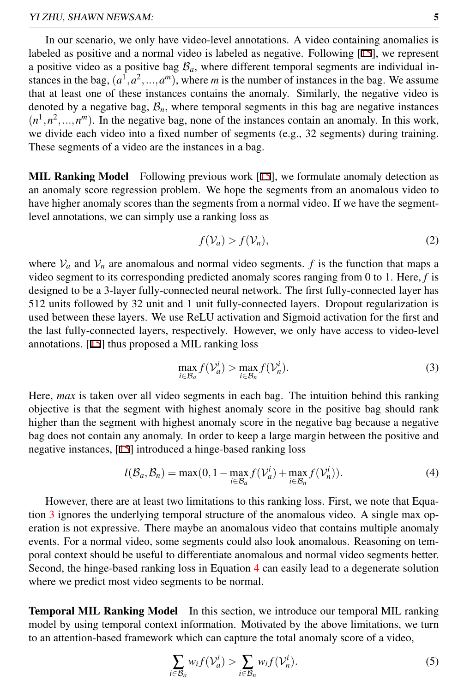In our scenario, we only have video-level annotations. A video containing anomalies is labeled as positive and a normal video is labeled as negative. Following [15], we represent a positive video as a positive bag  $B_a$ , where different temporal segments are individual instances in the bag,  $(a^1, a^2, ..., a^m)$ , where *m* is the number of instances in the bag. We assume that at least one of these instances contains the anomaly. Similarly, the negative video is denoted by a negative bag,  $\mathcal{B}_n$ , where temporal segments in this bag are negative instances  $(n<sup>1</sup>, n<sup>2</sup>, ..., n<sup>m</sup>)$ . In the negative bag, none of the instances contain an anomaly. In this work, we divide each video into a fixed number of segments (e.g., 32 segments) during training. These segments of a video are the instances in a bag.

**MIL Ranking Model** Following previous work  $[15]$ , we formulate anomaly detection as an anomaly score regression problem. We hope the segments from an anomalous video to have higher anomaly scores than the segments from a normal video. If we have the segmentlevel annotations, we can simply use a ranking loss as

$$
f(\mathcal{V}_a) > f(\mathcal{V}_n),\tag{2}
$$

where  $V_a$  and  $V_n$  are anomalous and normal video segments. *f* is the function that maps a video segment to its corresponding predicted anomaly scores ranging from 0 to 1. Here, *f* is designed to be a 3-layer fully-connected neural network. The first fully-connected layer has 512 units followed by 32 unit and 1 unit fully-connected layers. Dropout regularization is used between these layers. We use ReLU activation and Sigmoid activation for the first and the last fully-connected layers, respectively. However, we only have access to video-level annotations. [15] thus proposed a MIL ranking loss

<span id="page-4-1"></span><span id="page-4-0"></span>
$$
\max_{i \in \mathcal{B}_a} f(\mathcal{V}_a^i) > \max_{i \in \mathcal{B}_n} f(\mathcal{V}_n^i). \tag{3}
$$

Here, *max* is taken over all video segments in each bag. The intuition behind this ranking objective is that the segment with highest anomaly score in the positive bag should rank higher than the segment with highest anomaly score in the negative bag because a negative bag does not contain any anomaly. In order to keep a large margin between the positive and negative instances, [15] introduced a hinge-based ranking loss

$$
l(B_a, B_n) = \max(0, 1 - \max_{i \in B_a} f(\mathcal{V}_a^i) + \max_{i \in B_n} f(\mathcal{V}_n^i)).
$$
\n(4)

However, there are at least two limitations to this ranking loss. First, we note that Equation [3](#page-4-0) ignores the underlying temporal structure of the anomalous video. A single max operation is not expressive. There maybe an anomalous video that contains multiple anomaly events. For a normal video, some segments could also look anomalous. Reasoning on temporal context should be useful to differentiate anomalous and normal video segments better. Second, the hinge-based ranking loss in Equation [4](#page-4-1) can easily lead to a degenerate solution where we predict most video segments to be normal.

Temporal MIL Ranking Model In this section, we introduce our temporal MIL ranking model by using temporal context information. Motivated by the above limitations, we turn to an attention-based framework which can capture the total anomaly score of a video,

$$
\sum_{i \in B_a} w_i f(\mathcal{V}_a^i) > \sum_{i \in B_n} w_i f(\mathcal{V}_n^i). \tag{5}
$$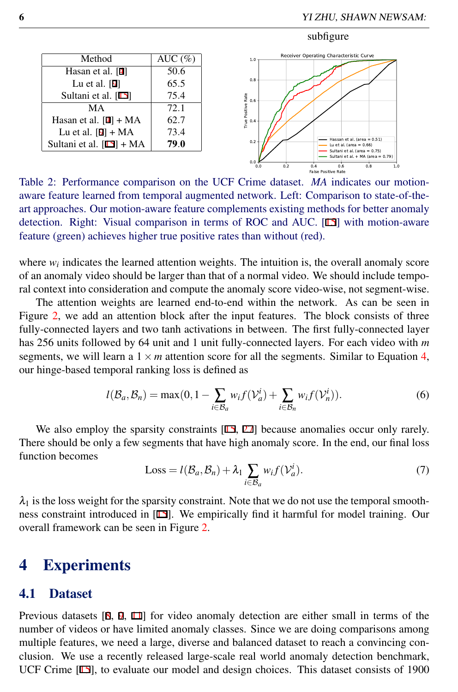#### subfigure



<span id="page-5-0"></span>Table 2: Performance comparison on the UCF Crime dataset. *MA* indicates our motionaware feature learned from temporal augmented network. Left: Comparison to state-of-theart approaches. Our motion-aware feature complements existing methods for better anomaly detection. Right: Visual comparison in terms of ROC and AUC. [15] with motion-aware feature (green) achieves higher true positive rates than without (red).

where  $w_i$  indicates the learned attention weights. The intuition is, the overall anomaly score of an anomaly video should be larger than that of a normal video. We should include temporal context into consideration and compute the anomaly score video-wise, not segment-wise.

The attention weights are learned end-to-end within the network. As can be seen in Figure [2,](#page-3-0) we add an attention block after the input features. The block consists of three fully-connected layers and two tanh activations in between. The first fully-connected layer has 256 units followed by 64 unit and 1 unit fully-connected layers. For each video with *m* segments, we will learn a  $1 \times m$  attention score for all the segments. Similar to Equation [4,](#page-4-1) our hinge-based temporal ranking loss is defined as

$$
l(\mathcal{B}_a, \mathcal{B}_n) = \max(0, 1 - \sum_{i \in \mathcal{B}_a} w_i f(\mathcal{V}_a^i) + \sum_{i \in \mathcal{B}_n} w_i f(\mathcal{V}_n^i)).
$$
 (6)

We also employ the sparsity constraints  $[15, 27]$  because anomalies occur only rarely. There should be only a few segments that have high anomaly score. In the end, our final loss function becomes

<span id="page-5-1"></span>
$$
Loss = l(B_a, B_n) + \lambda_1 \sum_{i \in B_a} w_i f(\mathcal{V}_a^i).
$$
 (7)

 $\lambda_1$  is the loss weight for the sparsity constraint. Note that we do not use the temporal smoothness constraint introduced in [15]. We empirically find it harmful for model training. Our overall framework can be seen in Figure [2.](#page-3-0)

### 4 Experiments

#### 4.1 Dataset

Previous datasets [8, 9, 11] for video anomaly detection are either small in terms of the number of videos or have limited anomaly classes. Since we are doing comparisons among multiple features, we need a large, diverse and balanced dataset to reach a convincing conclusion. We use a recently released large-scale real world anomaly detection benchmark, UCF Crime [15], to evaluate our model and design choices. This dataset consists of 1900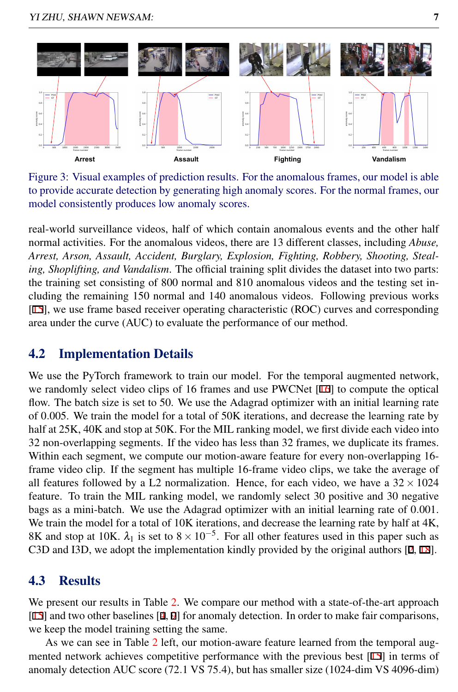

<span id="page-6-0"></span>Figure 3: Visual examples of prediction results. For the anomalous frames, our model is able to provide accurate detection by generating high anomaly scores. For the normal frames, our model consistently produces low anomaly scores.

real-world surveillance videos, half of which contain anomalous events and the other half normal activities. For the anomalous videos, there are 13 different classes, including *Abuse, Arrest, Arson, Assault, Accident, Burglary, Explosion, Fighting, Robbery, Shooting, Stealing, Shoplifting, and Vandalism*. The official training split divides the dataset into two parts: the training set consisting of 800 normal and 810 anomalous videos and the testing set including the remaining 150 normal and 140 anomalous videos. Following previous works [15], we use frame based receiver operating characteristic (ROC) curves and corresponding area under the curve (AUC) to evaluate the performance of our method.

### 4.2 Implementation Details

We use the PyTorch framework to train our model. For the temporal augmented network, we randomly select video clips of 16 frames and use PWCNet [16] to compute the optical flow. The batch size is set to 50. We use the Adagrad optimizer with an initial learning rate of 0.005. We train the model for a total of 50K iterations, and decrease the learning rate by half at  $25K$ ,  $40K$  and stop at  $50K$ . For the MIL ranking model, we first divide each video into 32 non-overlapping segments. If the video has less than 32 frames, we duplicate its frames. Within each segment, we compute our motion-aware feature for every non-overlapping 16 frame video clip. If the segment has multiple 16-frame video clips, we take the average of all features followed by a L2 normalization. Hence, for each video, we have a  $32 \times 1024$ feature. To train the MIL ranking model, we randomly select 30 positive and 30 negative bags as a mini-batch. We use the Adagrad optimizer with an initial learning rate of 0.001. We train the model for a total of 10K iterations, and decrease the learning rate by half at 4K, 8K and stop at 10K.  $\lambda_1$  is set to  $8 \times 10^{-5}$ . For all other features used in this paper such as C3D and I3D, we adopt the implementation kindly provided by the original authors [2, 18].

### 4.3 Results

We present our results in Table [2.](#page-5-0) We compare our method with a state-of-the-art approach [15] and two other baselines [4, 9] for anomaly detection. In order to make fair comparisons, we keep the model training setting the same.

As we can see in Table [2](#page-5-0) left, our motion-aware feature learned from the temporal augmented network achieves competitive performance with the previous best [15] in terms of anomaly detection AUC score (72.1 VS 75.4), but has smaller size (1024-dim VS 4096-dim)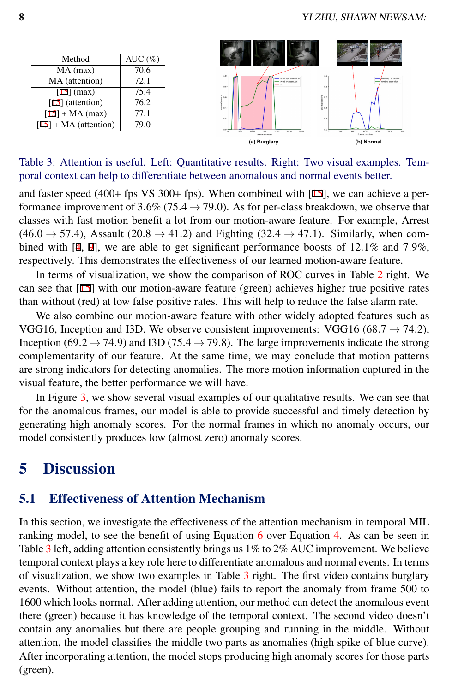

<span id="page-7-1"></span>Table 3: Attention is useful. Left: Quantitative results. Right: Two visual examples. Temporal context can help to differentiate between anomalous and normal events better.

and faster speed (400+ fps VS 300+ fps). When combined with [15], we can achieve a performance improvement of 3.6% (75.4  $\rightarrow$  79.0). As for per-class breakdown, we observe that classes with fast motion benefit a lot from our motion-aware feature. For example, Arrest  $(46.0 \rightarrow 57.4)$ , Assault  $(20.8 \rightarrow 41.2)$  and Fighting  $(32.4 \rightarrow 47.1)$ . Similarly, when combined with  $[4, 9]$ , we are able to get significant performance boosts of 12.1% and 7.9%, respectively. This demonstrates the effectiveness of our learned motion-aware feature.

In terms of visualization, we show the comparison of ROC curves in Table [2](#page-5-0) right. We can see that [15] with our motion-aware feature (green) achieves higher true positive rates than without (red) at low false positive rates. This will help to reduce the false alarm rate.

We also combine our motion-aware feature with other widely adopted features such as VGG16, Inception and I3D. We observe consistent improvements: VGG16 (68.7  $\rightarrow$  74.2), Inception (69.2  $\rightarrow$  74.9) and I3D (75.4  $\rightarrow$  79.8). The large improvements indicate the strong complementarity of our feature. At the same time, we may conclude that motion patterns are strong indicators for detecting anomalies. The more motion information captured in the visual feature, the better performance we will have.

In Figure [3,](#page-6-0) we show several visual examples of our qualitative results. We can see that for the anomalous frames, our model is able to provide successful and timely detection by generating high anomaly scores. For the normal frames in which no anomaly occurs, our model consistently produces low (almost zero) anomaly scores.

### <span id="page-7-0"></span>5 Discussion

#### 5.1 Effectiveness of Attention Mechanism

In this section, we investigate the effectiveness of the attention mechanism in temporal MIL ranking model, to see the benefit of using Equation  $6$  over Equation [4.](#page-4-1) As can be seen in Table [3](#page-7-1) left, adding attention consistently brings us 1% to 2% AUC improvement. We believe temporal context plays a key role here to differentiate anomalous and normal events. In terms of visualization, we show two examples in Table [3](#page-7-1) right. The first video contains burglary events. Without attention, the model (blue) fails to report the anomaly from frame 500 to 1600 which looks normal. After adding attention, our method can detect the anomalous event there (green) because it has knowledge of the temporal context. The second video doesn't contain any anomalies but there are people grouping and running in the middle. Without attention, the model classifies the middle two parts as anomalies (high spike of blue curve). After incorporating attention, the model stops producing high anomaly scores for those parts (green).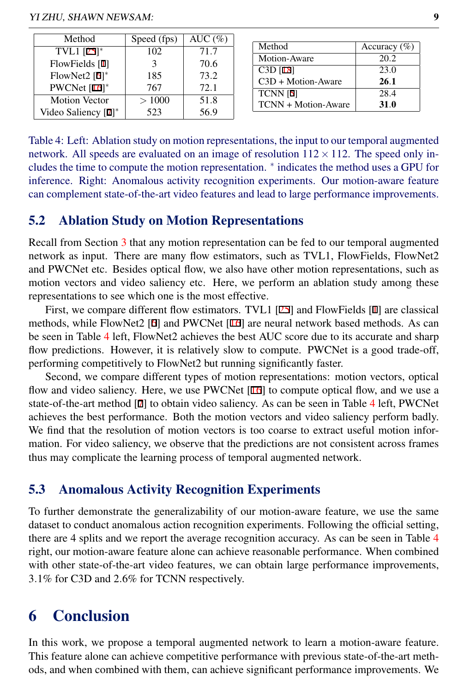| Method                 | Speed (fps) | AUC $(\%)$ |                     |                  |
|------------------------|-------------|------------|---------------------|------------------|
| TVL1 $[25]^{*}$        | 102         | 71.7       | Method              | Accuracy $(\% )$ |
| FlowFields [1]         |             | 70.6       | Motion-Aware        | 20.2             |
| FlowNet2 $[6]^*$       | 185         | 73.2       | $C3D$ [18]          | 23.0             |
| PWCNet $[16]^*$        | 767         | 72.1       | C3D + Motion-Aware  | 26.1             |
|                        |             |            | <b>TCNN</b> [5]     | 28.4             |
| <b>Motion Vector</b>   | >1000       | 51.8       | TCNN + Motion-Aware | 31.0             |
| Video Saliency $[7]^*$ | 523         | 56.9       |                     |                  |

<span id="page-8-0"></span>Table 4: Left: Ablation study on motion representations, the input to our temporal augmented network. All speeds are evaluated on an image of resolution  $112 \times 112$ . The speed only includes the time to compute the motion representation. <sup>∗</sup> indicates the method uses a GPU for inference. Right: Anomalous activity recognition experiments. Our motion-aware feature can complement state-of-the-art video features and lead to large performance improvements.

#### 5.2 Ablation Study on Motion Representations

Recall from Section [3](#page-2-1) that any motion representation can be fed to our temporal augmented network as input. There are many flow estimators, such as TVL1, FlowFields, FlowNet2 and PWCNet etc. Besides optical flow, we also have other motion representations, such as motion vectors and video saliency etc. Here, we perform an ablation study among these representations to see which one is the most effective.

First, we compare different flow estimators. TVL1 [25] and FlowFields [1] are classical methods, while FlowNet2 [6] and PWCNet [16] are neural network based methods. As can be seen in Table [4](#page-8-0) left, FlowNet2 achieves the best AUC score due to its accurate and sharp flow predictions. However, it is relatively slow to compute. PWCNet is a good trade-off, performing competitively to FlowNet2 but running significantly faster.

Second, we compare different types of motion representations: motion vectors, optical flow and video saliency. Here, we use PWCNet  $[16]$  to compute optical flow, and we use a state-of-the-art method [7] to obtain video saliency. As can be seen in Table [4](#page-8-0) left, PWCNet achieves the best performance. Both the motion vectors and video saliency perform badly. We find that the resolution of motion vectors is too coarse to extract useful motion information. For video saliency, we observe that the predictions are not consistent across frames thus may complicate the learning process of temporal augmented network.

#### 5.3 Anomalous Activity Recognition Experiments

To further demonstrate the generalizability of our motion-aware feature, we use the same dataset to conduct anomalous action recognition experiments. Following the official setting, there are 4 splits and we report the average recognition accuracy. As can be seen in Table [4](#page-8-0) right, our motion-aware feature alone can achieve reasonable performance. When combined with other state-of-the-art video features, we can obtain large performance improvements, 3.1% for C3D and 2.6% for TCNN respectively.

## 6 Conclusion

In this work, we propose a temporal augmented network to learn a motion-aware feature. This feature alone can achieve competitive performance with previous state-of-the-art methods, and when combined with them, can achieve significant performance improvements. We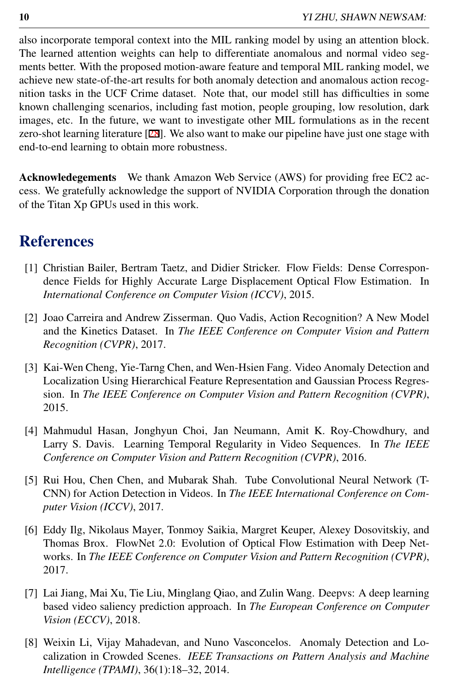also incorporate temporal context into the MIL ranking model by using an attention block. The learned attention weights can help to differentiate anomalous and normal video segments better. With the proposed motion-aware feature and temporal MIL ranking model, we achieve new state-of-the-art results for both anomaly detection and anomalous action recognition tasks in the UCF Crime dataset. Note that, our model still has difficulties in some known challenging scenarios, including fast motion, people grouping, low resolution, dark images, etc. In the future, we want to investigate other MIL formulations as in the recent zero-shot learning literature [28]. We also want to make our pipeline have just one stage with end-to-end learning to obtain more robustness.

Acknowledegements We thank Amazon Web Service (AWS) for providing free EC2 access. We gratefully acknowledge the support of NVIDIA Corporation through the donation of the Titan Xp GPUs used in this work.

### **References**

- [1] Christian Bailer, Bertram Taetz, and Didier Stricker. Flow Fields: Dense Correspondence Fields for Highly Accurate Large Displacement Optical Flow Estimation. In *International Conference on Computer Vision (ICCV)*, 2015.
- [2] Joao Carreira and Andrew Zisserman. Quo Vadis, Action Recognition? A New Model and the Kinetics Dataset. In *The IEEE Conference on Computer Vision and Pattern Recognition (CVPR)*, 2017.
- [3] Kai-Wen Cheng, Yie-Tarng Chen, and Wen-Hsien Fang. Video Anomaly Detection and Localization Using Hierarchical Feature Representation and Gaussian Process Regression. In *The IEEE Conference on Computer Vision and Pattern Recognition (CVPR)*, 2015.
- [4] Mahmudul Hasan, Jonghyun Choi, Jan Neumann, Amit K. Roy-Chowdhury, and Larry S. Davis. Learning Temporal Regularity in Video Sequences. In *The IEEE Conference on Computer Vision and Pattern Recognition (CVPR)*, 2016.
- [5] Rui Hou, Chen Chen, and Mubarak Shah. Tube Convolutional Neural Network (T-CNN) for Action Detection in Videos. In *The IEEE International Conference on Computer Vision (ICCV)*, 2017.
- [6] Eddy Ilg, Nikolaus Mayer, Tonmoy Saikia, Margret Keuper, Alexey Dosovitskiy, and Thomas Brox. FlowNet 2.0: Evolution of Optical Flow Estimation with Deep Networks. In *The IEEE Conference on Computer Vision and Pattern Recognition (CVPR)*, 2017.
- [7] Lai Jiang, Mai Xu, Tie Liu, Minglang Qiao, and Zulin Wang. Deepvs: A deep learning based video saliency prediction approach. In *The European Conference on Computer Vision (ECCV)*, 2018.
- [8] Weixin Li, Vijay Mahadevan, and Nuno Vasconcelos. Anomaly Detection and Localization in Crowded Scenes. *IEEE Transactions on Pattern Analysis and Machine Intelligence (TPAMI)*, 36(1):18–32, 2014.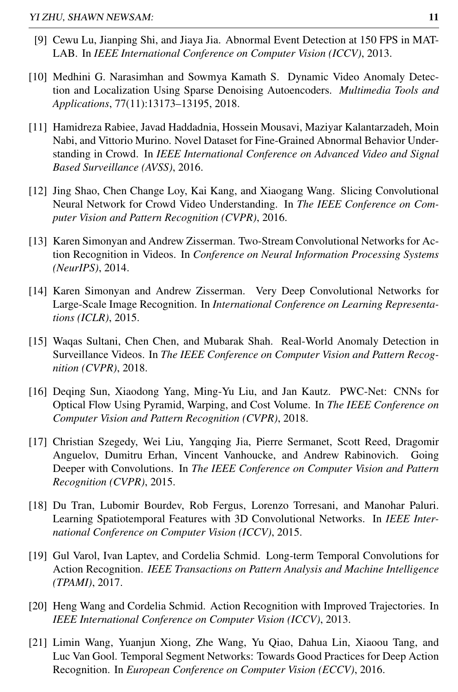- [9] Cewu Lu, Jianping Shi, and Jiaya Jia. Abnormal Event Detection at 150 FPS in MAT-LAB. In *IEEE International Conference on Computer Vision (ICCV)*, 2013.
- [10] Medhini G. Narasimhan and Sowmya Kamath S. Dynamic Video Anomaly Detection and Localization Using Sparse Denoising Autoencoders. *Multimedia Tools and Applications*, 77(11):13173–13195, 2018.
- [11] Hamidreza Rabiee, Javad Haddadnia, Hossein Mousavi, Maziyar Kalantarzadeh, Moin Nabi, and Vittorio Murino. Novel Dataset for Fine-Grained Abnormal Behavior Understanding in Crowd. In *IEEE International Conference on Advanced Video and Signal Based Surveillance (AVSS)*, 2016.
- [12] Jing Shao, Chen Change Loy, Kai Kang, and Xiaogang Wang. Slicing Convolutional Neural Network for Crowd Video Understanding. In *The IEEE Conference on Computer Vision and Pattern Recognition (CVPR)*, 2016.
- [13] Karen Simonyan and Andrew Zisserman. Two-Stream Convolutional Networks for Action Recognition in Videos. In *Conference on Neural Information Processing Systems (NeurIPS)*, 2014.
- [14] Karen Simonyan and Andrew Zisserman. Very Deep Convolutional Networks for Large-Scale Image Recognition. In *International Conference on Learning Representations (ICLR)*, 2015.
- [15] Waqas Sultani, Chen Chen, and Mubarak Shah. Real-World Anomaly Detection in Surveillance Videos. In *The IEEE Conference on Computer Vision and Pattern Recognition (CVPR)*, 2018.
- [16] Deqing Sun, Xiaodong Yang, Ming-Yu Liu, and Jan Kautz. PWC-Net: CNNs for Optical Flow Using Pyramid, Warping, and Cost Volume. In *The IEEE Conference on Computer Vision and Pattern Recognition (CVPR)*, 2018.
- [17] Christian Szegedy, Wei Liu, Yangqing Jia, Pierre Sermanet, Scott Reed, Dragomir Anguelov, Dumitru Erhan, Vincent Vanhoucke, and Andrew Rabinovich. Going Deeper with Convolutions. In *The IEEE Conference on Computer Vision and Pattern Recognition (CVPR)*, 2015.
- [18] Du Tran, Lubomir Bourdev, Rob Fergus, Lorenzo Torresani, and Manohar Paluri. Learning Spatiotemporal Features with 3D Convolutional Networks. In *IEEE International Conference on Computer Vision (ICCV)*, 2015.
- [19] Gul Varol, Ivan Laptev, and Cordelia Schmid. Long-term Temporal Convolutions for Action Recognition. *IEEE Transactions on Pattern Analysis and Machine Intelligence (TPAMI)*, 2017.
- [20] Heng Wang and Cordelia Schmid. Action Recognition with Improved Trajectories. In *IEEE International Conference on Computer Vision (ICCV)*, 2013.
- [21] Limin Wang, Yuanjun Xiong, Zhe Wang, Yu Qiao, Dahua Lin, Xiaoou Tang, and Luc Van Gool. Temporal Segment Networks: Towards Good Practices for Deep Action Recognition. In *European Conference on Computer Vision (ECCV)*, 2016.